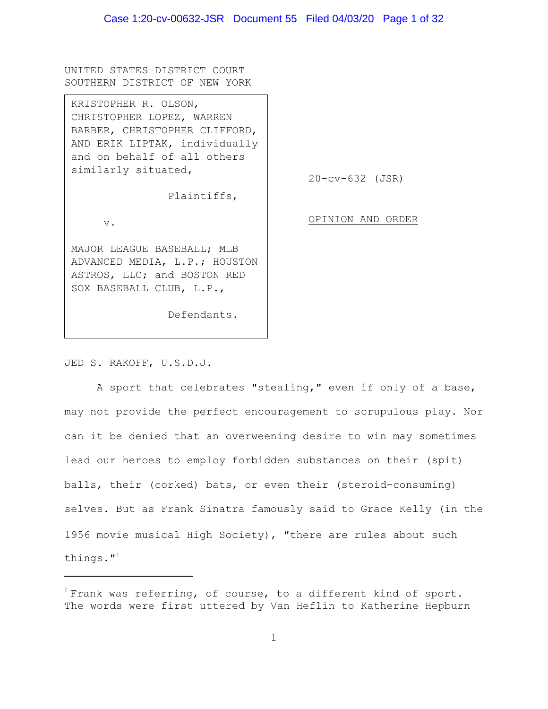UNITED STATES DISTRICT COURT SOUTHERN DISTRICT OF NEW YORK

20-cv-632 (JSR) OPINION AND ORDER KRISTOPHER R. OLSON, CHRISTOPHER LOPEZ, WARREN BARBER, CHRISTOPHER CLIFFORD, AND ERIK LIPTAK, individually and on behalf of all others similarly situated, Plaintiffs, v. MAJOR LEAGUE BASEBALL; MLB ADVANCED MEDIA, L.P.; HOUSTON ASTROS, LLC; and BOSTON RED SOX BASEBALL CLUB, L.P., Defendants.

JED S. RAKOFF, U.S.D.J.

A sport that celebrates "stealing," even if only of a base, may not provide the perfect encouragement to scrupulous play. Nor can it be denied that an overweening desire to win may sometimes lead our heroes to employ forbidden substances on their (spit) balls, their (corked) bats, or even their (steroid-consuming) selves. But as Frank Sinatra famously said to Grace Kelly (in the 1956 movie musical High Society), "there are rules about such things."<sup>1</sup>

 $1$  Frank was referring, of course, to a different kind of sport. The words were first uttered by Van Heflin to Katherine Hepburn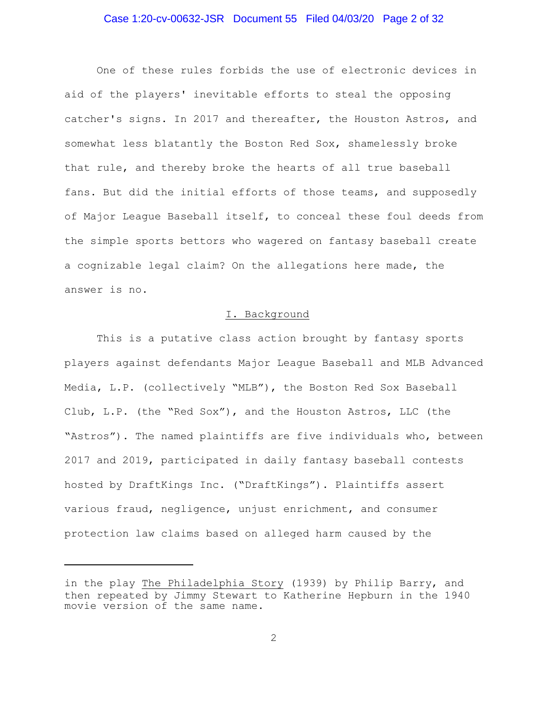#### Case 1:20-cv-00632-JSR Document 55 Filed 04/03/20 Page 2 of 32

One of these rules forbids the use of electronic devices in aid of the players' inevitable efforts to steal the opposing catcher's signs. In 2017 and thereafter, the Houston Astros, and somewhat less blatantly the Boston Red Sox, shamelessly broke that rule, and thereby broke the hearts of all true baseball fans. But did the initial efforts of those teams, and supposedly of Major League Baseball itself, to conceal these foul deeds from the simple sports bettors who wagered on fantasy baseball create a cognizable legal claim? On the allegations here made, the answer is no.

#### I. Background

This is a putative class action brought by fantasy sports players against defendants Major League Baseball and MLB Advanced Media, L.P. (collectively "MLB"), the Boston Red Sox Baseball Club, L.P. (the "Red Sox"), and the Houston Astros, LLC (the "Astros"). The named plaintiffs are five individuals who, between 2017 and 2019, participated in daily fantasy baseball contests hosted by DraftKings Inc. ("DraftKings"). Plaintiffs assert various fraud, negligence, unjust enrichment, and consumer protection law claims based on alleged harm caused by the

in the play The Philadelphia Story (1939) by Philip Barry, and then repeated by Jimmy Stewart to Katherine Hepburn in the 1940 movie version of the same name.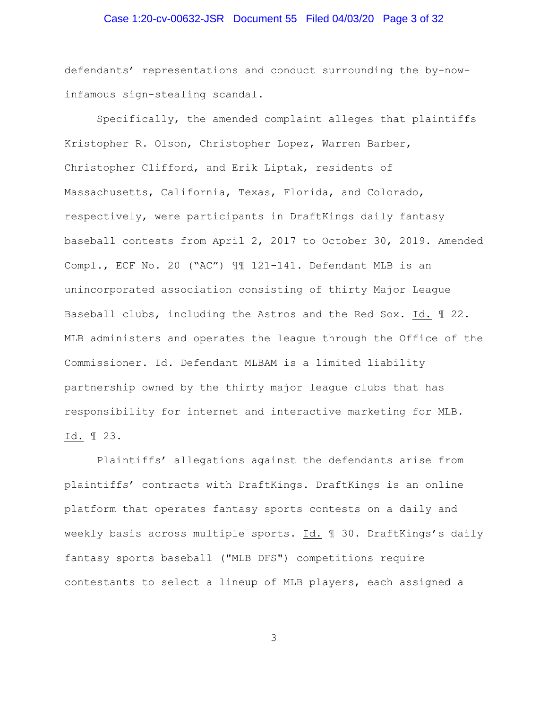## Case 1:20-cv-00632-JSR Document 55 Filed 04/03/20 Page 3 of 32

defendants' representations and conduct surrounding the by-nowinfamous sign-stealing scandal.

Specifically, the amended complaint alleges that plaintiffs Kristopher R. Olson, Christopher Lopez, Warren Barber, Christopher Clifford, and Erik Liptak, residents of Massachusetts, California, Texas, Florida, and Colorado, respectively, were participants in DraftKings daily fantasy baseball contests from April 2, 2017 to October 30, 2019. Amended Compl., ECF No. 20 ("AC") ¶¶ 121-141. Defendant MLB is an unincorporated association consisting of thirty Major League Baseball clubs, including the Astros and the Red Sox. Id. ¶ 22. MLB administers and operates the league through the Office of the Commissioner. Id. Defendant MLBAM is a limited liability partnership owned by the thirty major league clubs that has responsibility for internet and interactive marketing for MLB. Id. ¶ 23.

Plaintiffs' allegations against the defendants arise from plaintiffs' contracts with DraftKings. DraftKings is an online platform that operates fantasy sports contests on a daily and weekly basis across multiple sports. Id. ¶ 30. DraftKings's daily fantasy sports baseball ("MLB DFS") competitions require contestants to select a lineup of MLB players, each assigned a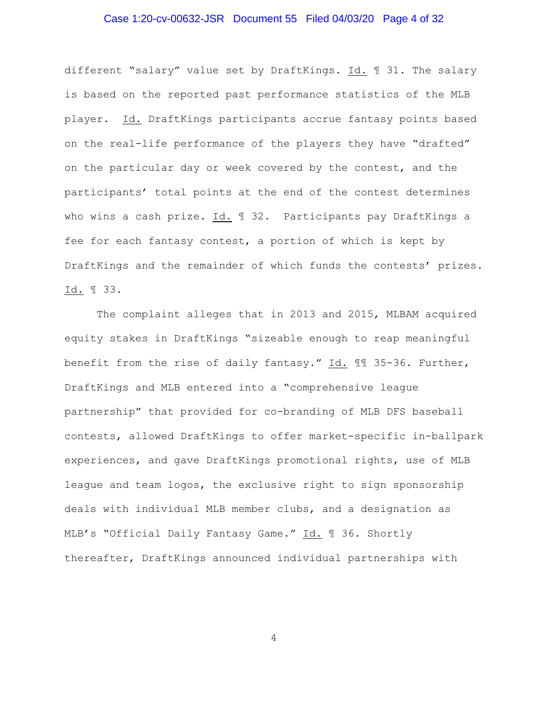## Case 1:20-cv-00632-JSR Document 55 Filed 04/03/20 Page 4 of 32

different "salary" value set by DraftKings. Id. ¶ 31. The salary is based on the reported past performance statistics of the MLB player. Id. DraftKings participants accrue fantasy points based on the real-life performance of the players they have "drafted" on the particular day or week covered by the contest, and the participants' total points at the end of the contest determines who wins a cash prize. Id. 1 32. Participants pay DraftKings a fee for each fantasy contest, a portion of which is kept by DraftKings and the remainder of which funds the contests' prizes. Id. ¶ 33.

The complaint alleges that in 2013 and 2015, MLBAM acquired equity stakes in DraftKings "sizeable enough to reap meaningful benefit from the rise of daily fantasy." Id. 11 35-36. Further, DraftKings and MLB entered into a "comprehensive league partnership" that provided for co-branding of MLB DFS baseball contests, allowed DraftKings to offer market-specific in-ballpark experiences, and gave DraftKings promotional rights, use of MLB league and team logos, the exclusive right to sign sponsorship deals with individual MLB member clubs, and a designation as MLB's "Official Daily Fantasy Game." Id. ¶ 36. Shortly thereafter, DraftKings announced individual partnerships with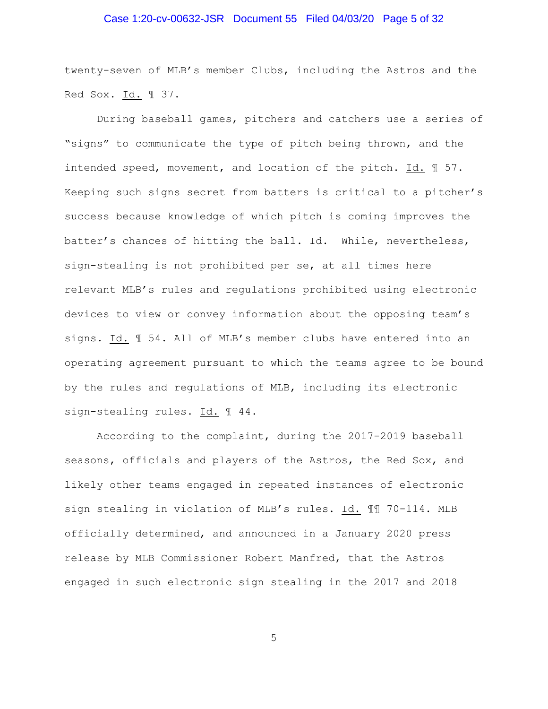## Case 1:20-cv-00632-JSR Document 55 Filed 04/03/20 Page 5 of 32

twenty-seven of MLB's member Clubs, including the Astros and the Red Sox. Id. 1 37.

During baseball games, pitchers and catchers use a series of "signs" to communicate the type of pitch being thrown, and the intended speed, movement, and location of the pitch. Id. ¶ 57. Keeping such signs secret from batters is critical to a pitcher's success because knowledge of which pitch is coming improves the batter's chances of hitting the ball. Id. While, nevertheless, sign-stealing is not prohibited per se, at all times here relevant MLB's rules and regulations prohibited using electronic devices to view or convey information about the opposing team's signs. Id. ¶ 54. All of MLB's member clubs have entered into an operating agreement pursuant to which the teams agree to be bound by the rules and regulations of MLB, including its electronic sign-stealing rules. Id. ¶ 44.

According to the complaint, during the 2017-2019 baseball seasons, officials and players of the Astros, the Red Sox, and likely other teams engaged in repeated instances of electronic sign stealing in violation of MLB's rules. Id. ¶¶ 70-114. MLB officially determined, and announced in a January 2020 press release by MLB Commissioner Robert Manfred, that the Astros engaged in such electronic sign stealing in the 2017 and 2018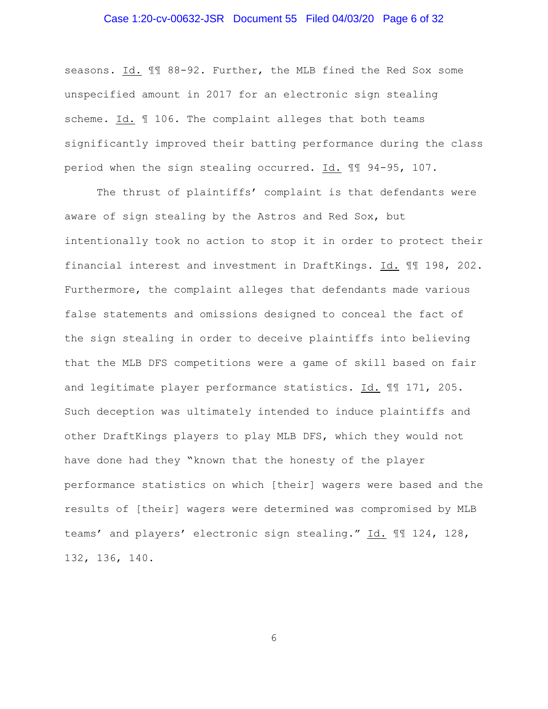## Case 1:20-cv-00632-JSR Document 55 Filed 04/03/20 Page 6 of 32

seasons. Id. ¶¶ 88-92. Further, the MLB fined the Red Sox some unspecified amount in 2017 for an electronic sign stealing scheme. Id. 106. The complaint alleges that both teams significantly improved their batting performance during the class period when the sign stealing occurred. Id. ¶¶ 94-95, 107.

The thrust of plaintiffs' complaint is that defendants were aware of sign stealing by the Astros and Red Sox, but intentionally took no action to stop it in order to protect their financial interest and investment in DraftKings. Id. ¶¶ 198, 202. Furthermore, the complaint alleges that defendants made various false statements and omissions designed to conceal the fact of the sign stealing in order to deceive plaintiffs into believing that the MLB DFS competitions were a game of skill based on fair and legitimate player performance statistics. Id. ¶¶ 171, 205. Such deception was ultimately intended to induce plaintiffs and other DraftKings players to play MLB DFS, which they would not have done had they "known that the honesty of the player performance statistics on which [their] wagers were based and the results of [their] wagers were determined was compromised by MLB teams' and players' electronic sign stealing." Id. ¶¶ 124, 128, 132, 136, 140.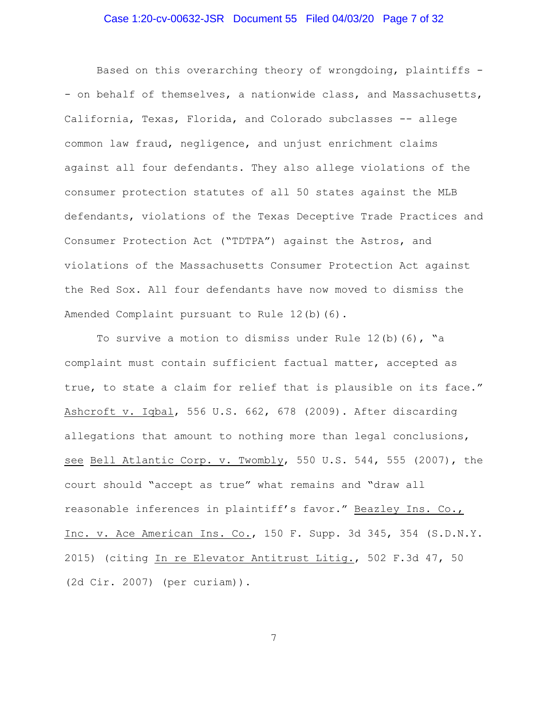## Case 1:20-cv-00632-JSR Document 55 Filed 04/03/20 Page 7 of 32

Based on this overarching theory of wrongdoing, plaintiffs - - on behalf of themselves, a nationwide class, and Massachusetts, California, Texas, Florida, and Colorado subclasses -- allege common law fraud, negligence, and unjust enrichment claims against all four defendants. They also allege violations of the consumer protection statutes of all 50 states against the MLB defendants, violations of the Texas Deceptive Trade Practices and Consumer Protection Act ("TDTPA") against the Astros, and violations of the Massachusetts Consumer Protection Act against the Red Sox. All four defendants have now moved to dismiss the Amended Complaint pursuant to Rule 12(b)(6).

To survive a motion to dismiss under Rule  $12(b)$  (6), "a complaint must contain sufficient factual matter, accepted as true, to state a claim for relief that is plausible on its face." Ashcroft v. Iqbal, 556 U.S. 662, 678 (2009). After discarding allegations that amount to nothing more than legal conclusions, see Bell Atlantic Corp. v. Twombly, 550 U.S. 544, 555 (2007), the court should "accept as true" what remains and "draw all reasonable inferences in plaintiff's favor." Beazley Ins. Co., Inc. v. Ace American Ins. Co., 150 F. Supp. 3d 345, 354 (S.D.N.Y. 2015) (citing In re Elevator Antitrust Litig., 502 F.3d 47, 50 (2d Cir. 2007) (per curiam)).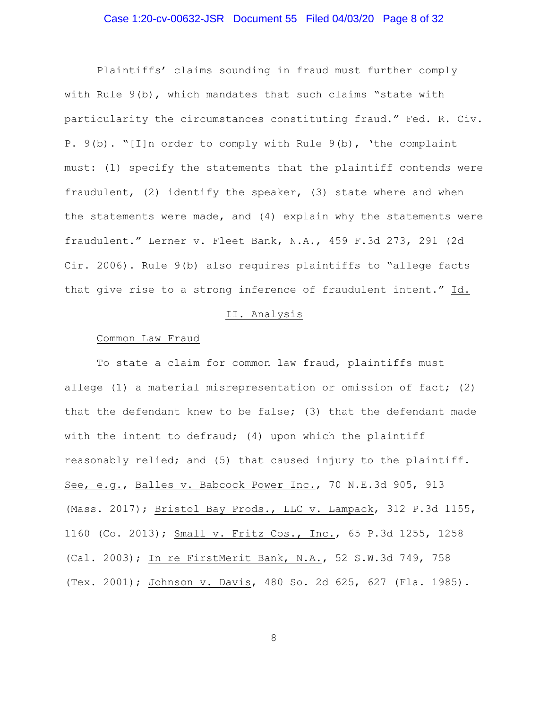## Case 1:20-cv-00632-JSR Document 55 Filed 04/03/20 Page 8 of 32

Plaintiffs' claims sounding in fraud must further comply with Rule 9(b), which mandates that such claims "state with particularity the circumstances constituting fraud." Fed. R. Civ. P. 9(b). "[I]n order to comply with Rule 9(b), 'the complaint must: (1) specify the statements that the plaintiff contends were fraudulent, (2) identify the speaker, (3) state where and when the statements were made, and (4) explain why the statements were fraudulent." Lerner v. Fleet Bank, N.A., 459 F.3d 273, 291 (2d Cir. 2006). Rule 9(b) also requires plaintiffs to "allege facts that give rise to a strong inference of fraudulent intent." Id.

### II. Analysis

#### Common Law Fraud

To state a claim for common law fraud, plaintiffs must allege (1) a material misrepresentation or omission of fact; (2) that the defendant knew to be false; (3) that the defendant made with the intent to defraud; (4) upon which the plaintiff reasonably relied; and (5) that caused injury to the plaintiff. See, e.g., Balles v. Babcock Power Inc., 70 N.E.3d 905, 913 (Mass. 2017); Bristol Bay Prods., LLC v. Lampack, 312 P.3d 1155, 1160 (Co. 2013); Small v. Fritz Cos., Inc., 65 P.3d 1255, 1258 (Cal. 2003); In re FirstMerit Bank, N.A., 52 S.W.3d 749, 758 (Tex. 2001); Johnson v. Davis, 480 So. 2d 625, 627 (Fla. 1985).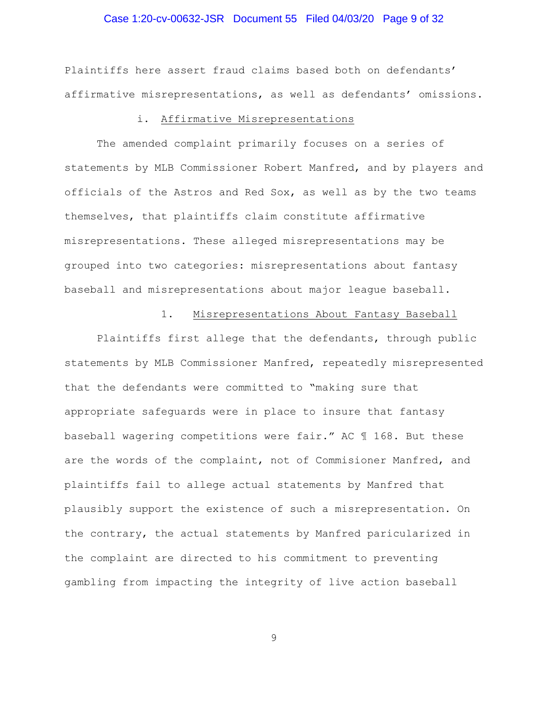## Case 1:20-cv-00632-JSR Document 55 Filed 04/03/20 Page 9 of 32

Plaintiffs here assert fraud claims based both on defendants' affirmative misrepresentations, as well as defendants' omissions.

## i. Affirmative Misrepresentations

The amended complaint primarily focuses on a series of statements by MLB Commissioner Robert Manfred, and by players and officials of the Astros and Red Sox, as well as by the two teams themselves, that plaintiffs claim constitute affirmative misrepresentations. These alleged misrepresentations may be grouped into two categories: misrepresentations about fantasy baseball and misrepresentations about major league baseball.

#### 1. Misrepresentations About Fantasy Baseball

Plaintiffs first allege that the defendants, through public statements by MLB Commissioner Manfred, repeatedly misrepresented that the defendants were committed to "making sure that appropriate safeguards were in place to insure that fantasy baseball wagering competitions were fair." AC ¶ 168. But these are the words of the complaint, not of Commisioner Manfred, and plaintiffs fail to allege actual statements by Manfred that plausibly support the existence of such a misrepresentation. On the contrary, the actual statements by Manfred paricularized in the complaint are directed to his commitment to preventing gambling from impacting the integrity of live action baseball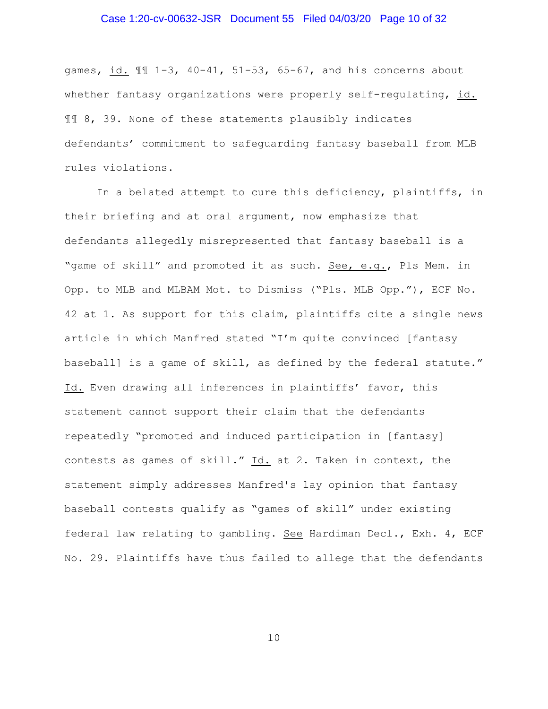## Case 1:20-cv-00632-JSR Document 55 Filed 04/03/20 Page 10 of 32

games, id. ¶¶ 1-3, 40-41, 51-53, 65-67, and his concerns about whether fantasy organizations were properly self-regulating, id. ¶¶ 8, 39. None of these statements plausibly indicates defendants' commitment to safeguarding fantasy baseball from MLB rules violations.

In a belated attempt to cure this deficiency, plaintiffs, in their briefing and at oral argument, now emphasize that defendants allegedly misrepresented that fantasy baseball is a "game of skill" and promoted it as such. See, e.g., Pls Mem. in Opp. to MLB and MLBAM Mot. to Dismiss ("Pls. MLB Opp."), ECF No. 42 at 1. As support for this claim, plaintiffs cite a single news article in which Manfred stated "I'm quite convinced [fantasy baseball] is a game of skill, as defined by the federal statute." Id. Even drawing all inferences in plaintiffs' favor, this statement cannot support their claim that the defendants repeatedly "promoted and induced participation in [fantasy] contests as games of skill." Id. at 2. Taken in context, the statement simply addresses Manfred's lay opinion that fantasy baseball contests qualify as "games of skill" under existing federal law relating to gambling. See Hardiman Decl., Exh. 4, ECF No. 29. Plaintiffs have thus failed to allege that the defendants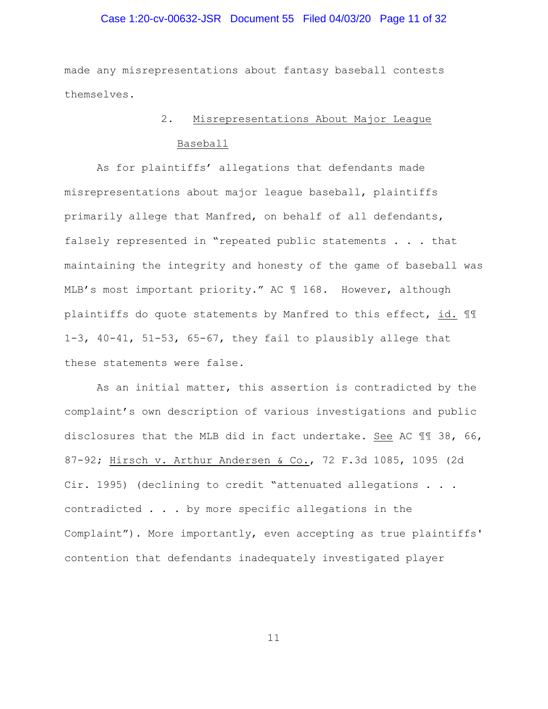## Case 1:20-cv-00632-JSR Document 55 Filed 04/03/20 Page 11 of 32

made any misrepresentations about fantasy baseball contests themselves.

# 2. Misrepresentations About Major League Baseball

As for plaintiffs' allegations that defendants made misrepresentations about major league baseball, plaintiffs primarily allege that Manfred, on behalf of all defendants, falsely represented in "repeated public statements . . . that maintaining the integrity and honesty of the game of baseball was MLB's most important priority." AC ¶ 168. However, although plaintiffs do quote statements by Manfred to this effect, id. ¶¶ 1-3, 40-41, 51-53, 65-67, they fail to plausibly allege that these statements were false.

As an initial matter, this assertion is contradicted by the complaint's own description of various investigations and public disclosures that the MLB did in fact undertake. See AC ¶¶ 38, 66, 87-92; Hirsch v. Arthur Andersen & Co., 72 F.3d 1085, 1095 (2d Cir. 1995) (declining to credit "attenuated allegations . . . contradicted . . . by more specific allegations in the Complaint"). More importantly, even accepting as true plaintiffs' contention that defendants inadequately investigated player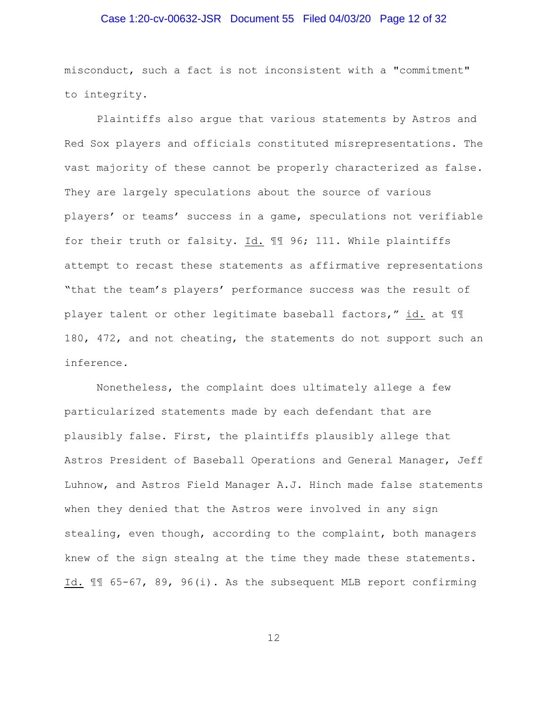## Case 1:20-cv-00632-JSR Document 55 Filed 04/03/20 Page 12 of 32

misconduct, such a fact is not inconsistent with a "commitment" to integrity.

Plaintiffs also argue that various statements by Astros and Red Sox players and officials constituted misrepresentations. The vast majority of these cannot be properly characterized as false. They are largely speculations about the source of various players' or teams' success in a game, speculations not verifiable for their truth or falsity. Id. ¶¶ 96; 111. While plaintiffs attempt to recast these statements as affirmative representations "that the team's players' performance success was the result of player talent or other legitimate baseball factors," id. at ¶¶ 180, 472, and not cheating, the statements do not support such an inference.

Nonetheless, the complaint does ultimately allege a few particularized statements made by each defendant that are plausibly false. First, the plaintiffs plausibly allege that Astros President of Baseball Operations and General Manager, Jeff Luhnow, and Astros Field Manager A.J. Hinch made false statements when they denied that the Astros were involved in any sign stealing, even though, according to the complaint, both managers knew of the sign stealng at the time they made these statements. Id. ¶¶ 65-67, 89, 96(i). As the subsequent MLB report confirming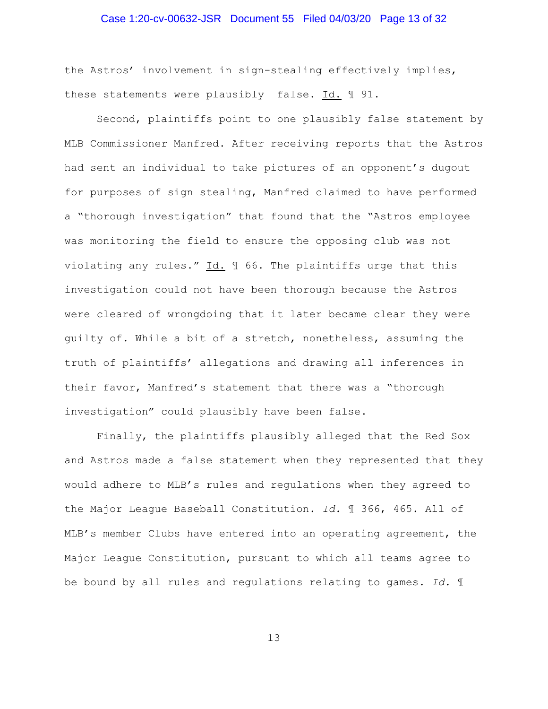## Case 1:20-cv-00632-JSR Document 55 Filed 04/03/20 Page 13 of 32

the Astros' involvement in sign-stealing effectively implies, these statements were plausibly false. Id. 191.

Second, plaintiffs point to one plausibly false statement by MLB Commissioner Manfred. After receiving reports that the Astros had sent an individual to take pictures of an opponent's dugout for purposes of sign stealing, Manfred claimed to have performed a "thorough investigation" that found that the "Astros employee was monitoring the field to ensure the opposing club was not violating any rules." Id. ¶ 66. The plaintiffs urge that this investigation could not have been thorough because the Astros were cleared of wrongdoing that it later became clear they were guilty of. While a bit of a stretch, nonetheless, assuming the truth of plaintiffs' allegations and drawing all inferences in their favor, Manfred's statement that there was a "thorough investigation" could plausibly have been false.

Finally, the plaintiffs plausibly alleged that the Red Sox and Astros made a false statement when they represented that they would adhere to MLB's rules and regulations when they agreed to the Major League Baseball Constitution. *Id.* ¶ 366, 465. All of MLB's member Clubs have entered into an operating agreement, the Major League Constitution, pursuant to which all teams agree to be bound by all rules and regulations relating to games. *Id.* ¶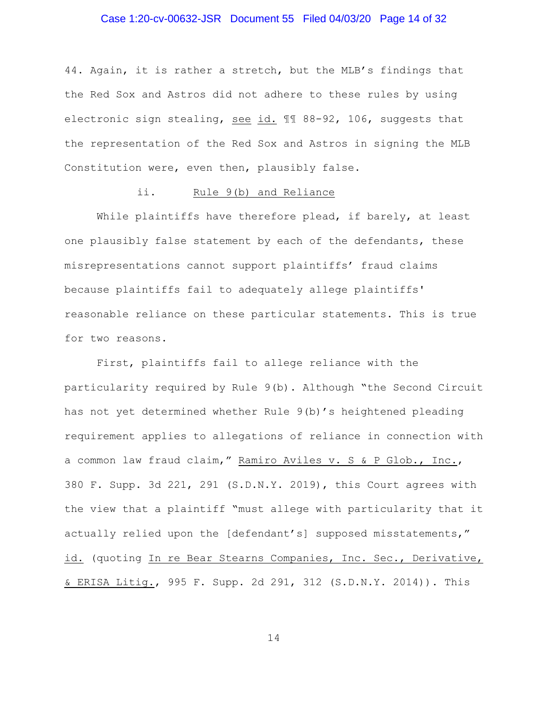## Case 1:20-cv-00632-JSR Document 55 Filed 04/03/20 Page 14 of 32

44. Again, it is rather a stretch, but the MLB's findings that the Red Sox and Astros did not adhere to these rules by using electronic sign stealing, see id. ¶¶ 88-92, 106, suggests that the representation of the Red Sox and Astros in signing the MLB Constitution were, even then, plausibly false.

## ii. Rule 9(b) and Reliance

While plaintiffs have therefore plead, if barely, at least one plausibly false statement by each of the defendants, these misrepresentations cannot support plaintiffs' fraud claims because plaintiffs fail to adequately allege plaintiffs' reasonable reliance on these particular statements. This is true for two reasons.

First, plaintiffs fail to allege reliance with the particularity required by Rule 9(b). Although "the Second Circuit has not yet determined whether Rule 9(b)'s heightened pleading requirement applies to allegations of reliance in connection with a common law fraud claim," Ramiro Aviles v. S & P Glob., Inc., 380 F. Supp. 3d 221, 291 (S.D.N.Y. 2019), this Court agrees with the view that a plaintiff "must allege with particularity that it actually relied upon the [defendant's] supposed misstatements," id. (quoting In re Bear Stearns Companies, Inc. Sec., Derivative, & ERISA Litig., 995 F. Supp. 2d 291, 312 (S.D.N.Y. 2014)). This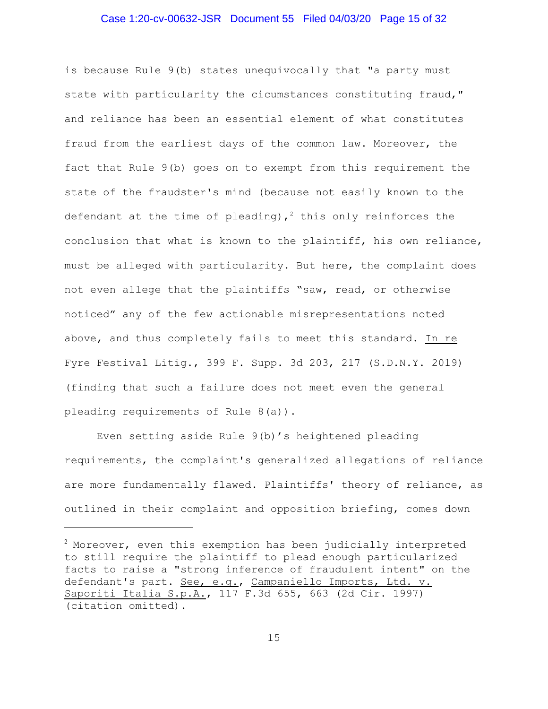#### Case 1:20-cv-00632-JSR Document 55 Filed 04/03/20 Page 15 of 32

is because Rule 9(b) states unequivocally that "a party must state with particularity the cicumstances constituting fraud," and reliance has been an essential element of what constitutes fraud from the earliest days of the common law. Moreover, the fact that Rule 9(b) goes on to exempt from this requirement the state of the fraudster's mind (because not easily known to the defendant at the time of pleading),<sup>2</sup> this only reinforces the conclusion that what is known to the plaintiff, his own reliance, must be alleged with particularity. But here, the complaint does not even allege that the plaintiffs "saw, read, or otherwise noticed" any of the few actionable misrepresentations noted above, and thus completely fails to meet this standard. In re Fyre Festival Litig., 399 F. Supp. 3d 203, 217 (S.D.N.Y. 2019) (finding that such a failure does not meet even the general pleading requirements of Rule 8(a)).

Even setting aside Rule 9(b)'s heightened pleading requirements, the complaint's generalized allegations of reliance are more fundamentally flawed. Plaintiffs' theory of reliance, as outlined in their complaint and opposition briefing, comes down

 $^{\text{2}}$  Moreover, even this exemption has been judicially interpreted to still require the plaintiff to plead enough particularized facts to raise a "strong inference of fraudulent intent" on the defendant's part. See, e.g., Campaniello Imports, Ltd. v. Saporiti Italia S.p.A., 117 F.3d 655, 663 (2d Cir. 1997) (citation omitted).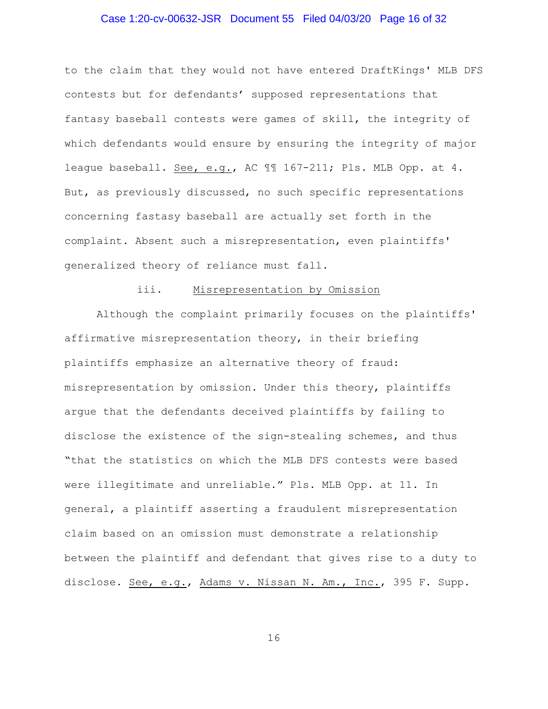## Case 1:20-cv-00632-JSR Document 55 Filed 04/03/20 Page 16 of 32

to the claim that they would not have entered DraftKings' MLB DFS contests but for defendants' supposed representations that fantasy baseball contests were games of skill, the integrity of which defendants would ensure by ensuring the integrity of major league baseball. See, e.g., AC 11 167-211; Pls. MLB Opp. at 4. But, as previously discussed, no such specific representations concerning fastasy baseball are actually set forth in the complaint. Absent such a misrepresentation, even plaintiffs' generalized theory of reliance must fall.

### iii. Misrepresentation by Omission

Although the complaint primarily focuses on the plaintiffs' affirmative misrepresentation theory, in their briefing plaintiffs emphasize an alternative theory of fraud: misrepresentation by omission. Under this theory, plaintiffs argue that the defendants deceived plaintiffs by failing to disclose the existence of the sign-stealing schemes, and thus "that the statistics on which the MLB DFS contests were based were illegitimate and unreliable." Pls. MLB Opp. at 11. In general, a plaintiff asserting a fraudulent misrepresentation claim based on an omission must demonstrate a relationship between the plaintiff and defendant that gives rise to a duty to disclose. See, e.g., Adams v. Nissan N. Am., Inc., 395 F. Supp.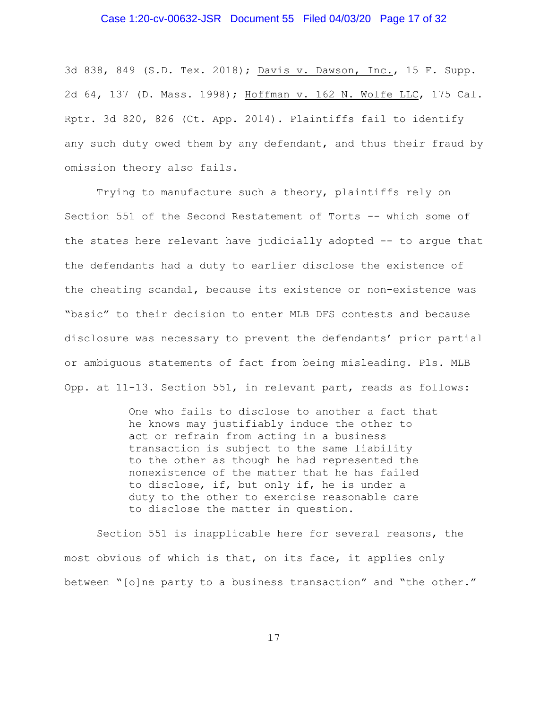#### Case 1:20-cv-00632-JSR Document 55 Filed 04/03/20 Page 17 of 32

3d 838, 849 (S.D. Tex. 2018); Davis v. Dawson, Inc., 15 F. Supp. 2d 64, 137 (D. Mass. 1998); Hoffman v. 162 N. Wolfe LLC, 175 Cal. Rptr. 3d 820, 826 (Ct. App. 2014). Plaintiffs fail to identify any such duty owed them by any defendant, and thus their fraud by omission theory also fails.

Trying to manufacture such a theory, plaintiffs rely on Section 551 of the Second Restatement of Torts -- which some of the states here relevant have judicially adopted -- to argue that the defendants had a duty to earlier disclose the existence of the cheating scandal, because its existence or non-existence was "basic" to their decision to enter MLB DFS contests and because disclosure was necessary to prevent the defendants' prior partial or ambiguous statements of fact from being misleading. Pls. MLB Opp. at 11-13. Section 551, in relevant part, reads as follows:

> One who fails to disclose to another a fact that he knows may justifiably induce the other to act or refrain from acting in a business transaction is subject to the same liability to the other as though he had represented the nonexistence of the matter that he has failed to disclose, if, but only if, he is under a duty to the other to exercise reasonable care to disclose the matter in question.

Section 551 is inapplicable here for several reasons, the most obvious of which is that, on its face, it applies only between "[o]ne party to a business transaction" and "the other."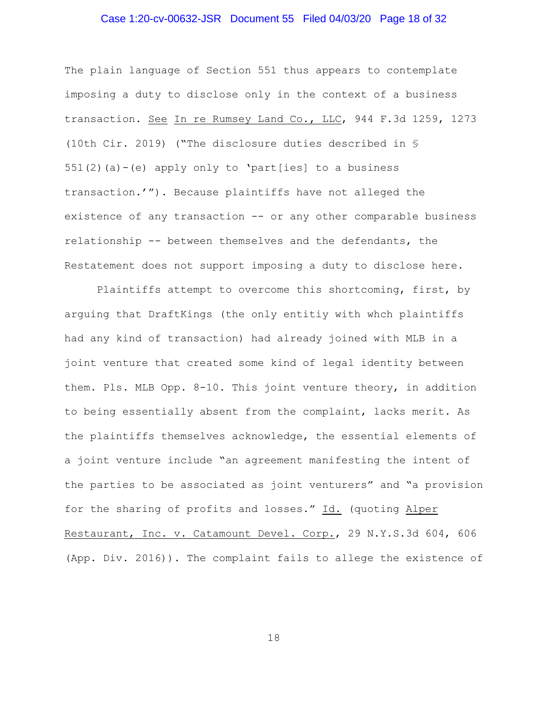## Case 1:20-cv-00632-JSR Document 55 Filed 04/03/20 Page 18 of 32

The plain language of Section 551 thus appears to contemplate imposing a duty to disclose only in the context of a business transaction. See In re Rumsey Land Co., LLC, 944 F.3d 1259, 1273 (10th Cir. 2019) ("The disclosure duties described in §  $551(2)(a) - (e)$  apply only to 'part[ies] to a business transaction.'"). Because plaintiffs have not alleged the existence of any transaction -- or any other comparable business relationship -- between themselves and the defendants, the Restatement does not support imposing a duty to disclose here.

Plaintiffs attempt to overcome this shortcoming, first, by arguing that DraftKings (the only entitiy with whch plaintiffs had any kind of transaction) had already joined with MLB in a joint venture that created some kind of legal identity between them. Pls. MLB Opp. 8-10. This joint venture theory, in addition to being essentially absent from the complaint, lacks merit. As the plaintiffs themselves acknowledge, the essential elements of a joint venture include "an agreement manifesting the intent of the parties to be associated as joint venturers" and "a provision for the sharing of profits and losses." Id. (quoting Alper Restaurant, Inc. v. Catamount Devel. Corp., 29 N.Y.S.3d 604, 606 (App. Div. 2016)). The complaint fails to allege the existence of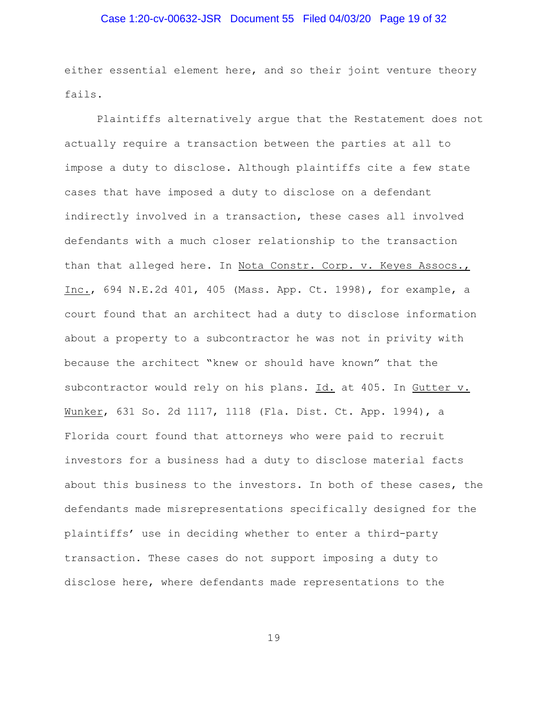## Case 1:20-cv-00632-JSR Document 55 Filed 04/03/20 Page 19 of 32

either essential element here, and so their joint venture theory fails.

Plaintiffs alternatively argue that the Restatement does not actually require a transaction between the parties at all to impose a duty to disclose. Although plaintiffs cite a few state cases that have imposed a duty to disclose on a defendant indirectly involved in a transaction, these cases all involved defendants with a much closer relationship to the transaction than that alleged here. In Nota Constr. Corp. v. Keyes Assocs., Inc., 694 N.E.2d 401, 405 (Mass. App. Ct. 1998), for example, a court found that an architect had a duty to disclose information about a property to a subcontractor he was not in privity with because the architect "knew or should have known" that the subcontractor would rely on his plans. Id. at 405. In Gutter v. Wunker, 631 So. 2d 1117, 1118 (Fla. Dist. Ct. App. 1994), a Florida court found that attorneys who were paid to recruit investors for a business had a duty to disclose material facts about this business to the investors. In both of these cases, the defendants made misrepresentations specifically designed for the plaintiffs' use in deciding whether to enter a third-party transaction. These cases do not support imposing a duty to disclose here, where defendants made representations to the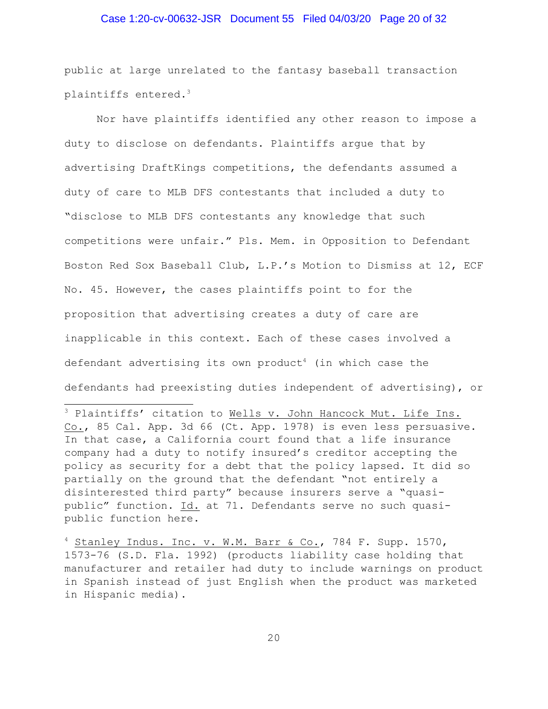## Case 1:20-cv-00632-JSR Document 55 Filed 04/03/20 Page 20 of 32

public at large unrelated to the fantasy baseball transaction plaintiffs entered.<sup>3</sup>

Nor have plaintiffs identified any other reason to impose a duty to disclose on defendants. Plaintiffs argue that by advertising DraftKings competitions, the defendants assumed a duty of care to MLB DFS contestants that included a duty to "disclose to MLB DFS contestants any knowledge that such competitions were unfair." Pls. Mem. in Opposition to Defendant Boston Red Sox Baseball Club, L.P.'s Motion to Dismiss at 12, ECF No. 45. However, the cases plaintiffs point to for the proposition that advertising creates a duty of care are inapplicable in this context. Each of these cases involved a defendant advertising its own product<sup>4</sup> (in which case the defendants had preexisting duties independent of advertising), or

<sup>3</sup> Plaintiffs' citation to Wells v. John Hancock Mut. Life Ins. Co., 85 Cal. App. 3d 66 (Ct. App. 1978) is even less persuasive. In that case, a California court found that a life insurance company had a duty to notify insured's creditor accepting the policy as security for a debt that the policy lapsed. It did so partially on the ground that the defendant "not entirely a disinterested third party" because insurers serve a "quasipublic" function. Id. at 71. Defendants serve no such quasipublic function here.

 $4$  Stanley Indus. Inc. v. W.M. Barr & Co., 784 F. Supp. 1570, 1573-76 (S.D. Fla. 1992) (products liability case holding that manufacturer and retailer had duty to include warnings on product in Spanish instead of just English when the product was marketed in Hispanic media).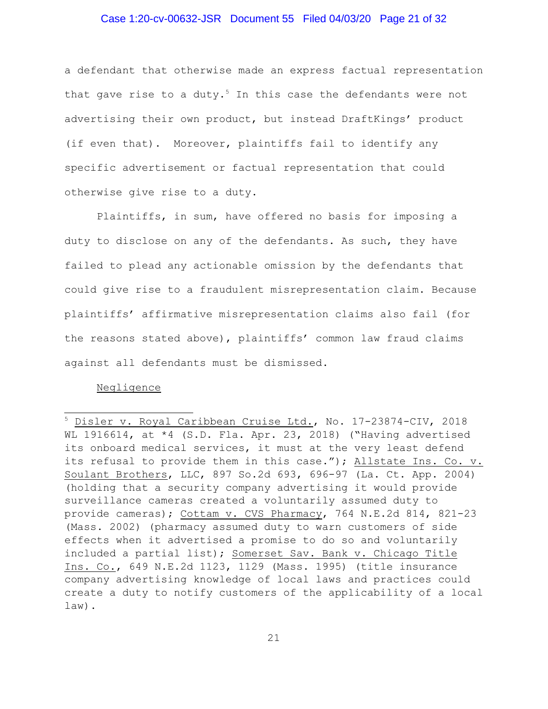#### Case 1:20-cv-00632-JSR Document 55 Filed 04/03/20 Page 21 of 32

a defendant that otherwise made an express factual representation that gave rise to a duty.<sup>5</sup> In this case the defendants were not advertising their own product, but instead DraftKings' product (if even that). Moreover, plaintiffs fail to identify any specific advertisement or factual representation that could otherwise give rise to a duty.

Plaintiffs, in sum, have offered no basis for imposing a duty to disclose on any of the defendants. As such, they have failed to plead any actionable omission by the defendants that could give rise to a fraudulent misrepresentation claim. Because plaintiffs' affirmative misrepresentation claims also fail (for the reasons stated above), plaintiffs' common law fraud claims against all defendants must be dismissed.

#### Negligence

<sup>5</sup> Disler v. Royal Caribbean Cruise Ltd., No. 17-23874-CIV, 2018 WL 1916614, at \*4 (S.D. Fla. Apr. 23, 2018) ("Having advertised its onboard medical services, it must at the very least defend its refusal to provide them in this case."); Allstate Ins. Co. v. Soulant Brothers, LLC, 897 So.2d 693, 696-97 (La. Ct. App. 2004) (holding that a security company advertising it would provide surveillance cameras created a voluntarily assumed duty to provide cameras); Cottam v. CVS Pharmacy, 764 N.E.2d 814, 821-23 (Mass. 2002) (pharmacy assumed duty to warn customers of side effects when it advertised a promise to do so and voluntarily included a partial list); Somerset Sav. Bank v. Chicago Title Ins. Co., 649 N.E.2d 1123, 1129 (Mass. 1995) (title insurance company advertising knowledge of local laws and practices could create a duty to notify customers of the applicability of a local law).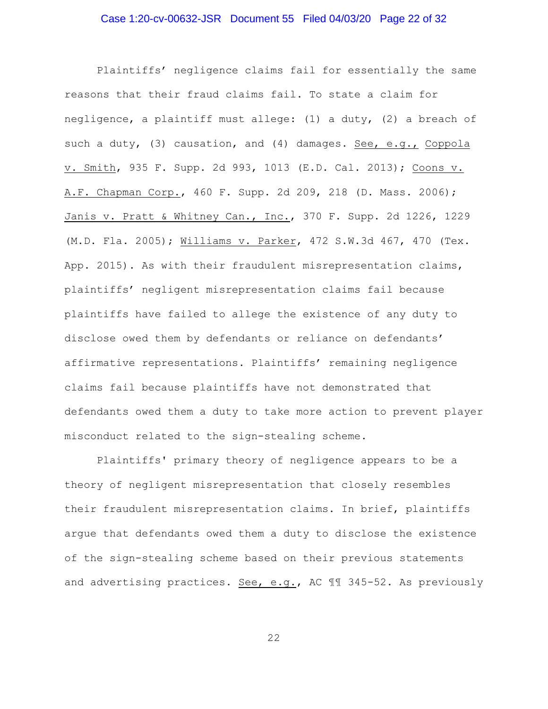## Case 1:20-cv-00632-JSR Document 55 Filed 04/03/20 Page 22 of 32

Plaintiffs' negligence claims fail for essentially the same reasons that their fraud claims fail. To state a claim for negligence, a plaintiff must allege: (1) a duty, (2) a breach of such a duty, (3) causation, and (4) damages. See, e.g., Coppola v. Smith, 935 F. Supp. 2d 993, 1013 (E.D. Cal. 2013); Coons v. A.F. Chapman Corp., 460 F. Supp. 2d 209, 218 (D. Mass. 2006); Janis v. Pratt & Whitney Can., Inc., 370 F. Supp. 2d 1226, 1229 (M.D. Fla. 2005); Williams v. Parker, 472 S.W.3d 467, 470 (Tex. App. 2015). As with their fraudulent misrepresentation claims, plaintiffs' negligent misrepresentation claims fail because plaintiffs have failed to allege the existence of any duty to disclose owed them by defendants or reliance on defendants' affirmative representations. Plaintiffs' remaining negligence claims fail because plaintiffs have not demonstrated that defendants owed them a duty to take more action to prevent player misconduct related to the sign-stealing scheme.

Plaintiffs' primary theory of negligence appears to be a theory of negligent misrepresentation that closely resembles their fraudulent misrepresentation claims. In brief, plaintiffs argue that defendants owed them a duty to disclose the existence of the sign-stealing scheme based on their previous statements and advertising practices. See, e.g., AC ¶¶ 345-52. As previously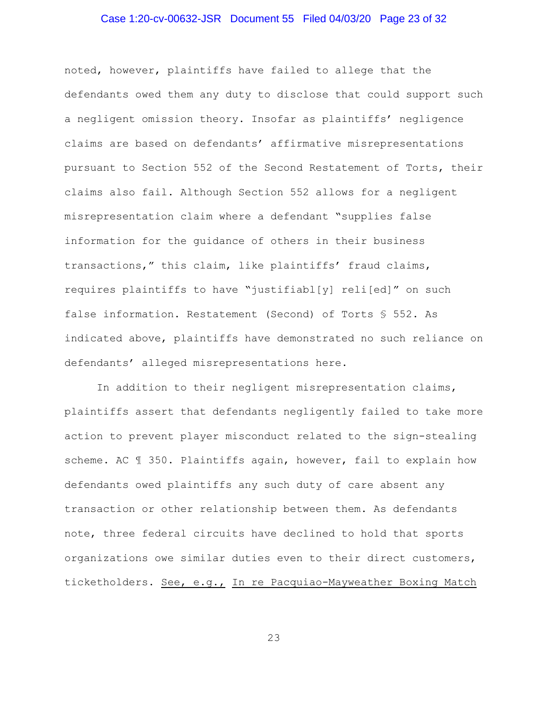## Case 1:20-cv-00632-JSR Document 55 Filed 04/03/20 Page 23 of 32

noted, however, plaintiffs have failed to allege that the defendants owed them any duty to disclose that could support such a negligent omission theory. Insofar as plaintiffs' negligence claims are based on defendants' affirmative misrepresentations pursuant to Section 552 of the Second Restatement of Torts, their claims also fail. Although Section 552 allows for a negligent misrepresentation claim where a defendant "supplies false information for the guidance of others in their business transactions," this claim, like plaintiffs' fraud claims, requires plaintiffs to have "justifiabl[y] reli[ed]" on such false information. Restatement (Second) of Torts § 552. As indicated above, plaintiffs have demonstrated no such reliance on defendants' alleged misrepresentations here.

In addition to their negligent misrepresentation claims, plaintiffs assert that defendants negligently failed to take more action to prevent player misconduct related to the sign-stealing scheme. AC  $\text{\textsterling}$  350. Plaintiffs again, however, fail to explain how defendants owed plaintiffs any such duty of care absent any transaction or other relationship between them. As defendants note, three federal circuits have declined to hold that sports organizations owe similar duties even to their direct customers, ticketholders. See, e.g., In re Pacquiao-Mayweather Boxing Match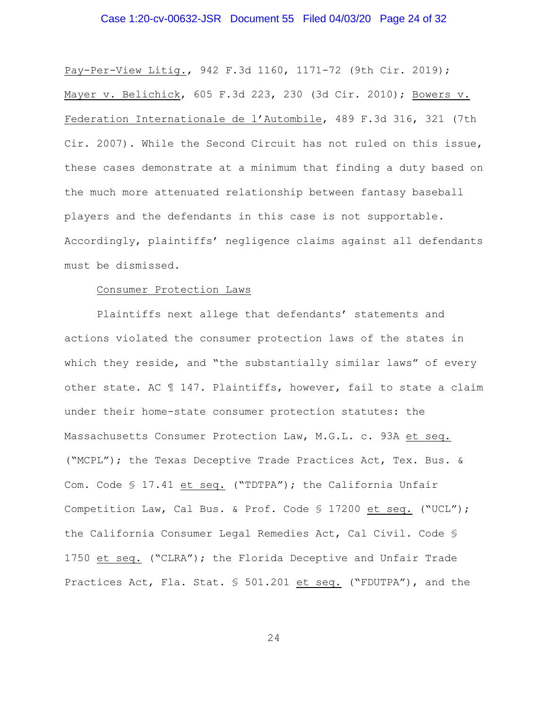## Case 1:20-cv-00632-JSR Document 55 Filed 04/03/20 Page 24 of 32

Pay-Per-View Litig., 942 F.3d 1160, 1171-72 (9th Cir. 2019); Mayer v. Belichick, 605 F.3d 223, 230 (3d Cir. 2010); Bowers v. Federation Internationale de l'Autombile, 489 F.3d 316, 321 (7th Cir. 2007). While the Second Circuit has not ruled on this issue, these cases demonstrate at a minimum that finding a duty based on the much more attenuated relationship between fantasy baseball players and the defendants in this case is not supportable. Accordingly, plaintiffs' negligence claims against all defendants must be dismissed.

#### Consumer Protection Laws

Plaintiffs next allege that defendants' statements and actions violated the consumer protection laws of the states in which they reside, and "the substantially similar laws" of every other state. AC ¶ 147. Plaintiffs, however, fail to state a claim under their home-state consumer protection statutes: the Massachusetts Consumer Protection Law, M.G.L. c. 93A et seq. ("MCPL"); the Texas Deceptive Trade Practices Act, Tex. Bus. & Com. Code § 17.41 et seq. ("TDTPA"); the California Unfair Competition Law, Cal Bus. & Prof. Code § 17200 et seq. ("UCL"); the California Consumer Legal Remedies Act, Cal Civil. Code § 1750 et seq. ("CLRA"); the Florida Deceptive and Unfair Trade Practices Act, Fla. Stat. § 501.201 et seq. ("FDUTPA"), and the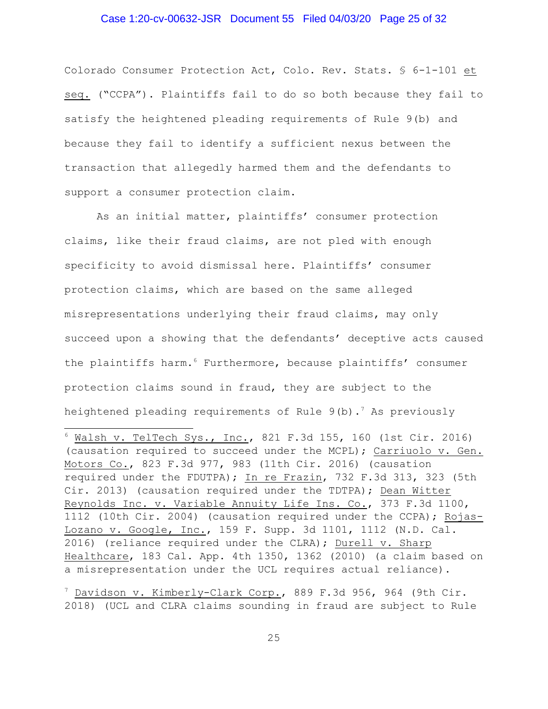#### Case 1:20-cv-00632-JSR Document 55 Filed 04/03/20 Page 25 of 32

Colorado Consumer Protection Act, Colo. Rev. Stats. § 6-1-101 et seq. ("CCPA"). Plaintiffs fail to do so both because they fail to satisfy the heightened pleading requirements of Rule 9(b) and because they fail to identify a sufficient nexus between the transaction that allegedly harmed them and the defendants to support a consumer protection claim.

As an initial matter, plaintiffs' consumer protection claims, like their fraud claims, are not pled with enough specificity to avoid dismissal here. Plaintiffs' consumer protection claims, which are based on the same alleged misrepresentations underlying their fraud claims, may only succeed upon a showing that the defendants' deceptive acts caused the plaintiffs harm.<sup>6</sup> Furthermore, because plaintiffs' consumer protection claims sound in fraud, they are subject to the heightened pleading requirements of Rule  $9(b)$ .<sup>7</sup> As previously

 $6$  Walsh v. TelTech Sys., Inc., 821 F.3d 155, 160 (1st Cir. 2016) (causation required to succeed under the MCPL); Carriuolo v. Gen. Motors Co., 823 F.3d 977, 983 (11th Cir. 2016) (causation required under the FDUTPA); In re Frazin, 732 F.3d 313, 323 (5th Cir. 2013) (causation required under the TDTPA); Dean Witter Reynolds Inc. v. Variable Annuity Life Ins. Co., 373 F.3d 1100, 1112 (10th Cir. 2004) (causation required under the CCPA); Rojas-Lozano v. Google, Inc., 159 F. Supp. 3d 1101, 1112 (N.D. Cal. 2016) (reliance required under the CLRA); Durell v. Sharp Healthcare, 183 Cal. App. 4th 1350, 1362 (2010) (a claim based on a misrepresentation under the UCL requires actual reliance).

<sup>7</sup> Davidson v. Kimberly-Clark Corp., 889 F.3d 956, 964 (9th Cir. 2018) (UCL and CLRA claims sounding in fraud are subject to Rule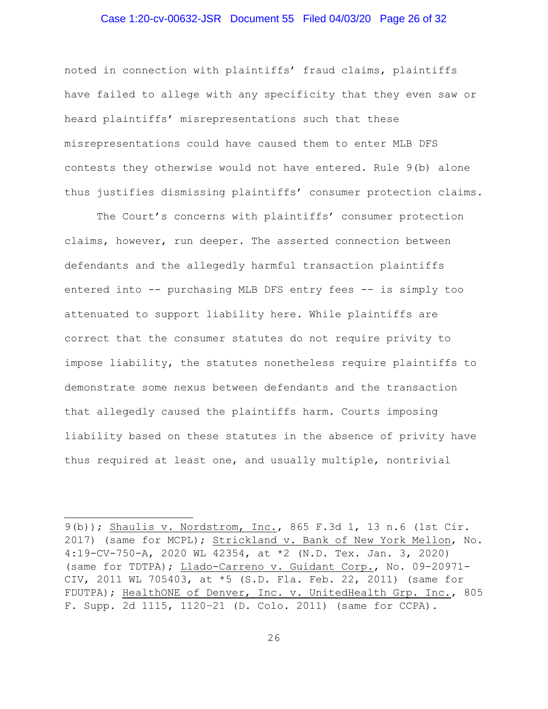#### Case 1:20-cv-00632-JSR Document 55 Filed 04/03/20 Page 26 of 32

noted in connection with plaintiffs' fraud claims, plaintiffs have failed to allege with any specificity that they even saw or heard plaintiffs' misrepresentations such that these misrepresentations could have caused them to enter MLB DFS contests they otherwise would not have entered. Rule 9(b) alone thus justifies dismissing plaintiffs' consumer protection claims.

The Court's concerns with plaintiffs' consumer protection claims, however, run deeper. The asserted connection between defendants and the allegedly harmful transaction plaintiffs entered into -- purchasing MLB DFS entry fees -- is simply too attenuated to support liability here. While plaintiffs are correct that the consumer statutes do not require privity to impose liability, the statutes nonetheless require plaintiffs to demonstrate some nexus between defendants and the transaction that allegedly caused the plaintiffs harm. Courts imposing liability based on these statutes in the absence of privity have thus required at least one, and usually multiple, nontrivial

<sup>9(</sup>b)); Shaulis v. Nordstrom, Inc., 865 F.3d 1, 13 n.6 (1st Cir. 2017) (same for MCPL); Strickland v. Bank of New York Mellon, No. 4:19-CV-750-A, 2020 WL 42354, at \*2 (N.D. Tex. Jan. 3, 2020) (same for TDTPA); Llado-Carreno v. Guidant Corp., No. 09-20971- CIV, 2011 WL 705403, at \*5 (S.D. Fla. Feb. 22, 2011) (same for FDUTPA); HealthONE of Denver, Inc. v. UnitedHealth Grp. Inc., 805 F. Supp. 2d 1115, 1120–21 (D. Colo. 2011) (same for CCPA).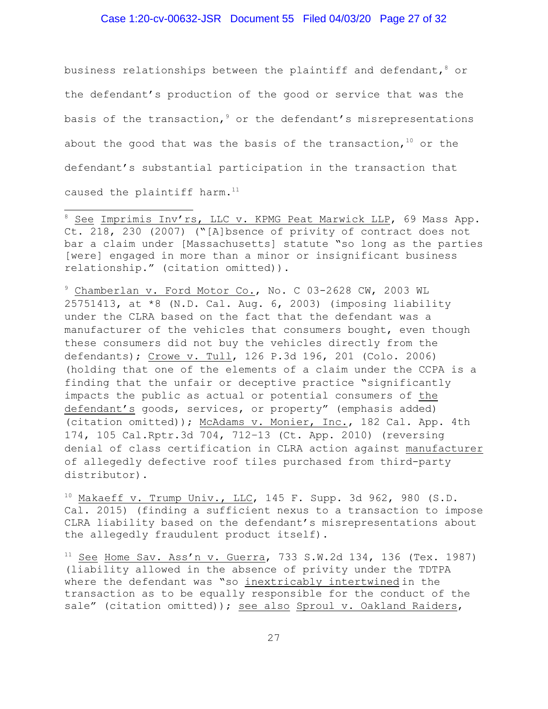#### Case 1:20-cv-00632-JSR Document 55 Filed 04/03/20 Page 27 of 32

business relationships between the plaintiff and defendant,  $\delta$  or the defendant's production of the good or service that was the basis of the transaction,<sup>9</sup> or the defendant's misrepresentations about the good that was the basis of the transaction,  $10$  or the defendant's substantial participation in the transaction that caused the plaintiff harm.<sup>11</sup>

<sup>8</sup> See Imprimis Inv'rs, LLC v. KPMG Peat Marwick LLP, 69 Mass App. Ct. 218, 230 (2007) ("[A]bsence of privity of contract does not bar a claim under [Massachusetts] statute "so long as the parties [were] engaged in more than a minor or insignificant business relationship." (citation omitted)).

<sup>9</sup> Chamberlan v. Ford Motor Co., No. C 03-2628 CW, 2003 WL 25751413, at  $*8$  (N.D. Cal. Aug. 6, 2003) (imposing liability under the CLRA based on the fact that the defendant was a manufacturer of the vehicles that consumers bought, even though these consumers did not buy the vehicles directly from the defendants); Crowe v. Tull, 126 P.3d 196, 201 (Colo. 2006) (holding that one of the elements of a claim under the CCPA is a finding that the unfair or deceptive practice "significantly impacts the public as actual or potential consumers of the defendant's goods, services, or property" (emphasis added) (citation omitted)); McAdams v. Monier, Inc., 182 Cal. App. 4th 174, 105 Cal.Rptr.3d 704, 712–13 (Ct. App. 2010) (reversing denial of class certification in CLRA action against manufacturer of allegedly defective roof tiles purchased from third-party distributor).

 $10$  Makaeff v. Trump Univ., LLC, 145 F. Supp. 3d 962, 980 (S.D. Cal. 2015) (finding a sufficient nexus to a transaction to impose CLRA liability based on the defendant's misrepresentations about the allegedly fraudulent product itself).

 $11$  See Home Sav. Ass'n v. Guerra, 733 S.W.2d 134, 136 (Tex. 1987) (liability allowed in the absence of privity under the TDTPA where the defendant was "so inextricably intertwined in the transaction as to be equally responsible for the conduct of the sale" (citation omitted)); see also Sproul v. Oakland Raiders,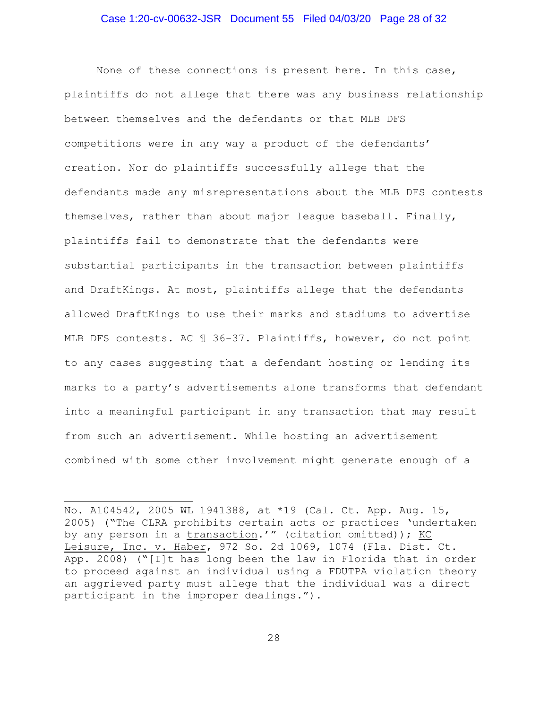#### Case 1:20-cv-00632-JSR Document 55 Filed 04/03/20 Page 28 of 32

None of these connections is present here. In this case, plaintiffs do not allege that there was any business relationship between themselves and the defendants or that MLB DFS competitions were in any way a product of the defendants' creation. Nor do plaintiffs successfully allege that the defendants made any misrepresentations about the MLB DFS contests themselves, rather than about major league baseball. Finally, plaintiffs fail to demonstrate that the defendants were substantial participants in the transaction between plaintiffs and DraftKings. At most, plaintiffs allege that the defendants allowed DraftKings to use their marks and stadiums to advertise MLB DFS contests. AC ¶ 36-37. Plaintiffs, however, do not point to any cases suggesting that a defendant hosting or lending its marks to a party's advertisements alone transforms that defendant into a meaningful participant in any transaction that may result from such an advertisement. While hosting an advertisement combined with some other involvement might generate enough of a

No. A104542, 2005 WL 1941388, at \*19 (Cal. Ct. App. Aug. 15, 2005) ("The CLRA prohibits certain acts or practices 'undertaken by any person in a transaction.'" (citation omitted)); KC Leisure, Inc. v. Haber, 972 So. 2d 1069, 1074 (Fla. Dist. Ct. App. 2008) ("[I]t has long been the law in Florida that in order to proceed against an individual using a FDUTPA violation theory an aggrieved party must allege that the individual was a direct participant in the improper dealings.").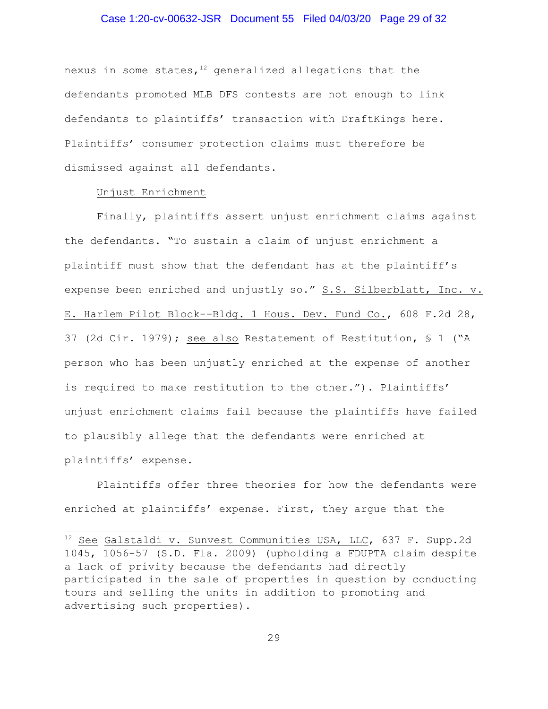## Case 1:20-cv-00632-JSR Document 55 Filed 04/03/20 Page 29 of 32

nexus in some states, $12$  generalized allegations that the defendants promoted MLB DFS contests are not enough to link defendants to plaintiffs' transaction with DraftKings here. Plaintiffs' consumer protection claims must therefore be dismissed against all defendants.

## Unjust Enrichment

Finally, plaintiffs assert unjust enrichment claims against the defendants. "To sustain a claim of unjust enrichment a plaintiff must show that the defendant has at the plaintiff's expense been enriched and unjustly so." S.S. Silberblatt, Inc. v. E. Harlem Pilot Block--Bldg. 1 Hous. Dev. Fund Co., 608 F.2d 28, 37 (2d Cir. 1979); see also Restatement of Restitution, § 1 ("A person who has been unjustly enriched at the expense of another is required to make restitution to the other."). Plaintiffs' unjust enrichment claims fail because the plaintiffs have failed to plausibly allege that the defendants were enriched at plaintiffs' expense.

Plaintiffs offer three theories for how the defendants were enriched at plaintiffs' expense. First, they argue that the

<sup>&</sup>lt;sup>12</sup> See Galstaldi v. Sunvest Communities USA, LLC, 637 F. Supp.2d 1045, 1056-57 (S.D. Fla. 2009) (upholding a FDUPTA claim despite a lack of privity because the defendants had directly participated in the sale of properties in question by conducting tours and selling the units in addition to promoting and advertising such properties).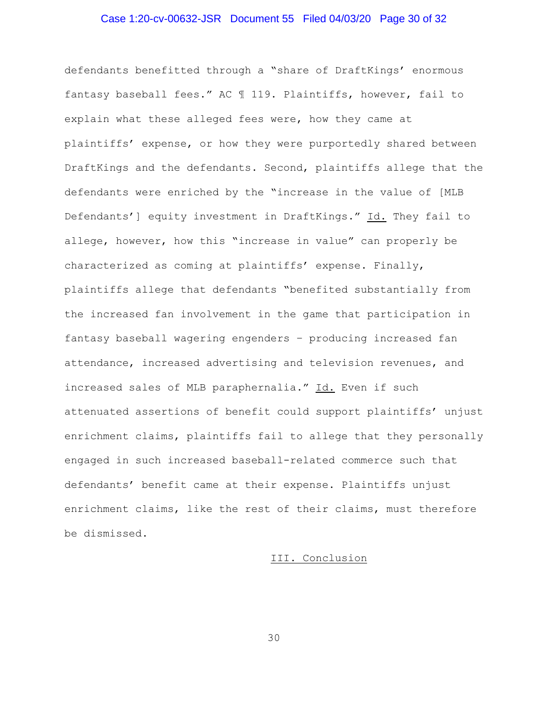## Case 1:20-cv-00632-JSR Document 55 Filed 04/03/20 Page 30 of 32

defendants benefitted through a "share of DraftKings' enormous fantasy baseball fees." AC ¶ 119. Plaintiffs, however, fail to explain what these alleged fees were, how they came at plaintiffs' expense, or how they were purportedly shared between DraftKings and the defendants. Second, plaintiffs allege that the defendants were enriched by the "increase in the value of [MLB Defendants'] equity investment in DraftKings." Id. They fail to allege, however, how this "increase in value" can properly be characterized as coming at plaintiffs' expense. Finally, plaintiffs allege that defendants "benefited substantially from the increased fan involvement in the game that participation in fantasy baseball wagering engenders – producing increased fan attendance, increased advertising and television revenues, and increased sales of MLB paraphernalia." Id. Even if such attenuated assertions of benefit could support plaintiffs' unjust enrichment claims, plaintiffs fail to allege that they personally engaged in such increased baseball-related commerce such that defendants' benefit came at their expense. Plaintiffs unjust enrichment claims, like the rest of their claims, must therefore be dismissed.

#### III. Conclusion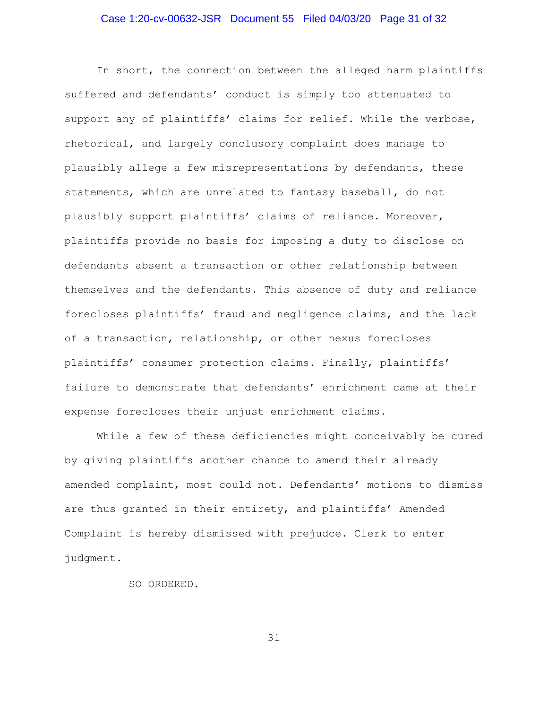## Case 1:20-cv-00632-JSR Document 55 Filed 04/03/20 Page 31 of 32

In short, the connection between the alleged harm plaintiffs suffered and defendants' conduct is simply too attenuated to support any of plaintiffs' claims for relief. While the verbose, rhetorical, and largely conclusory complaint does manage to plausibly allege a few misrepresentations by defendants, these statements, which are unrelated to fantasy baseball, do not plausibly support plaintiffs' claims of reliance. Moreover, plaintiffs provide no basis for imposing a duty to disclose on defendants absent a transaction or other relationship between themselves and the defendants. This absence of duty and reliance forecloses plaintiffs' fraud and negligence claims, and the lack of a transaction, relationship, or other nexus forecloses plaintiffs' consumer protection claims. Finally, plaintiffs' failure to demonstrate that defendants' enrichment came at their expense forecloses their unjust enrichment claims.

While a few of these deficiencies might conceivably be cured by giving plaintiffs another chance to amend their already amended complaint, most could not. Defendants' motions to dismiss are thus granted in their entirety, and plaintiffs' Amended Complaint is hereby dismissed with prejudce. Clerk to enter judgment.

SO ORDERED.